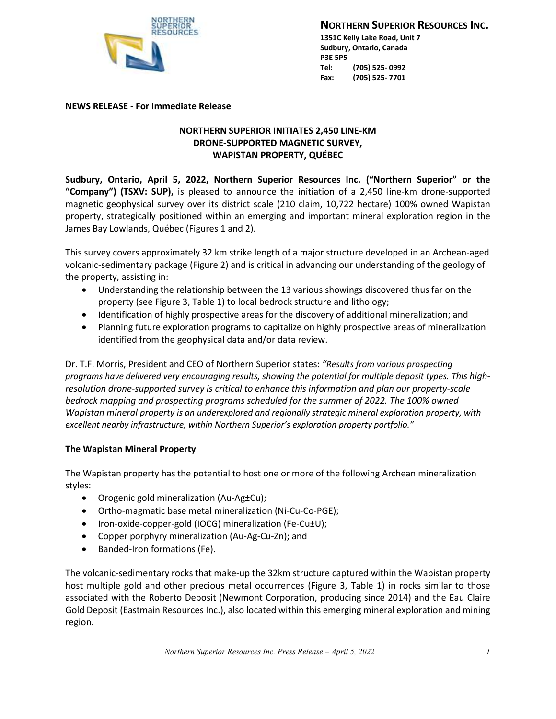

# **NORTHERN SUPERIOR RESOURCES INC.**

**1351C Kelly Lake Road, Unit 7 Sudbury, Ontario, Canada P3E 5P5 Tel: (705) 525- 0992 Fax: (705) 525- 7701**

#### **NEWS RELEASE - For Immediate Release**

## **NORTHERN SUPERIOR INITIATES 2,450 LINE-KM DRONE-SUPPORTED MAGNETIC SURVEY, WAPISTAN PROPERTY, QUÉBEC**

**Sudbury, Ontario, April 5, 2022, Northern Superior Resources Inc. ("Northern Superior" or the "Company") (TSXV: SUP),** is pleased to announce the initiation of a 2,450 line-km drone-supported magnetic geophysical survey over its district scale (210 claim, 10,722 hectare) 100% owned Wapistan property, strategically positioned within an emerging and important mineral exploration region in the James Bay Lowlands, Québec (Figures 1 and 2).

This survey covers approximately 32 km strike length of a major structure developed in an Archean-aged volcanic-sedimentary package (Figure 2) and is critical in advancing our understanding of the geology of the property, assisting in:

- Understanding the relationship between the 13 various showings discovered thus far on the property (see Figure 3, Table 1) to local bedrock structure and lithology;
- Identification of highly prospective areas for the discovery of additional mineralization; and
- Planning future exploration programs to capitalize on highly prospective areas of mineralization identified from the geophysical data and/or data review.

Dr. T.F. Morris, President and CEO of Northern Superior states: *"Results from various prospecting programs have delivered very encouraging results, showing the potential for multiple deposit types. This highresolution drone-supported survey is critical to enhance this information and plan our property-scale bedrock mapping and prospecting programs scheduled for the summer of 2022. The 100% owned Wapistan mineral property is an underexplored and regionally strategic mineral exploration property, with excellent nearby infrastructure, within Northern Superior's exploration property portfolio."*

## **The Wapistan Mineral Property**

The Wapistan property has the potential to host one or more of the following Archean mineralization styles:

- Orogenic gold mineralization (Au-Ag±Cu);
- Ortho-magmatic base metal mineralization (Ni-Cu-Co-PGE);
- Iron-oxide-copper-gold (IOCG) mineralization (Fe-Cu±U);
- Copper porphyry mineralization (Au-Ag-Cu-Zn); and
- Banded-Iron formations (Fe).

The volcanic-sedimentary rocks that make-up the 32km structure captured within the Wapistan property host multiple gold and other precious metal occurrences (Figure 3, Table 1) in rocks similar to those associated with the Roberto Deposit (Newmont Corporation, producing since 2014) and the Eau Claire Gold Deposit (Eastmain Resources Inc.), also located within this emerging mineral exploration and mining region.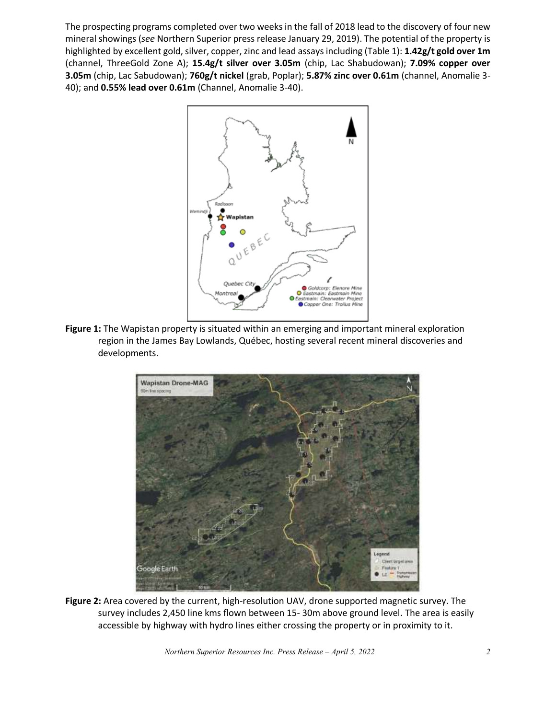The prospecting programs completed over two weeks in the fall of 2018 lead to the discovery of four new mineral showings (*see* Northern Superior press release January 29, 2019). The potential of the property is highlighted by excellent gold, silver, copper, zinc and lead assays including (Table 1): **1.42g/t gold over 1m** (channel, ThreeGold Zone A); **15.4g/t silver over 3.05m** (chip, Lac Shabudowan); **7.09% copper over 3.05m** (chip, Lac Sabudowan); **760g/t nickel** (grab, Poplar); **5.87% zinc over 0.61m** (channel, Anomalie 3- 40); and **0.55% lead over 0.61m** (Channel, Anomalie 3-40).



**Figure 1:** The Wapistan property is situated within an emerging and important mineral exploration region in the James Bay Lowlands, Québec, hosting several recent mineral discoveries and developments.



**Figure 2:** Area covered by the current, high-resolution UAV, drone supported magnetic survey. The survey includes 2,450 line kms flown between 15- 30m above ground level. The area is easily accessible by highway with hydro lines either crossing the property or in proximity to it.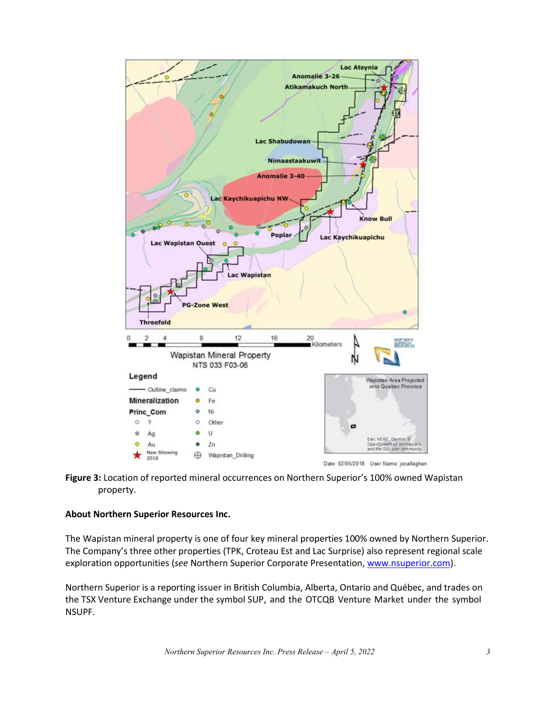

**Figure 3:** Location of reported mineral occurrences on Northern Superior's 100% owned Wapistan property.

## **About Northern Superior Resources Inc.**

The Wapistan mineral property is one of four key mineral properties 100% owned by Northern Superior. The Company's three other properties (TPK, Croteau Est and Lac Surprise) also represent regional scale exploration opportunities (*see* Northern Superior Corporate Presentation, [www.nsuperior.com\)](http://www.nsuperior.com/).

Northern Superior is a reporting issuer in British Columbia, Alberta, Ontario and Québec, and trades on the TSX Venture Exchange under the symbol SUP, and the OTCQB Venture Market under the symbol NSUPF.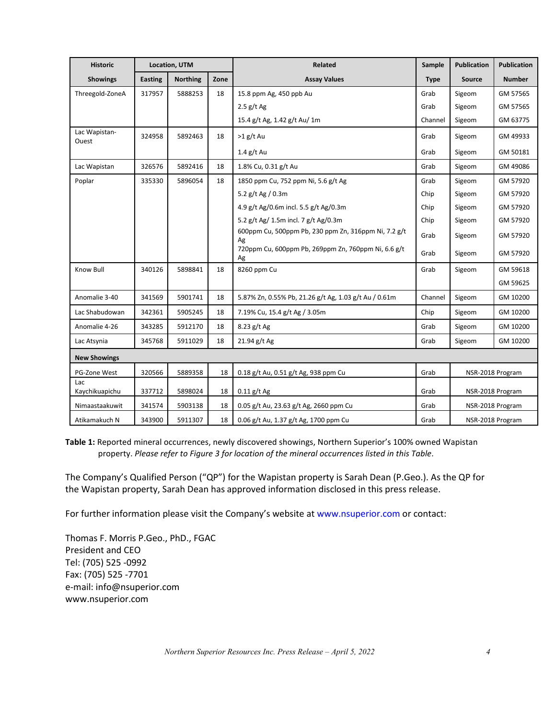| <b>Historic</b>        | <b>Location, UTM</b> |                 |      | Related                                                    | Sample      | Publication      | <b>Publication</b> |
|------------------------|----------------------|-----------------|------|------------------------------------------------------------|-------------|------------------|--------------------|
| <b>Showings</b>        | <b>Easting</b>       | <b>Northing</b> | Zone | <b>Assay Values</b>                                        | <b>Type</b> | <b>Source</b>    | <b>Number</b>      |
| Threegold-ZoneA        | 317957               | 5888253         | 18   | 15.8 ppm Ag, 450 ppb Au                                    | Grab        | Sigeom           | GM 57565           |
|                        |                      |                 |      | $2.5$ g/t Ag                                               | Grab        | Sigeom           | GM 57565           |
|                        |                      |                 |      | 15.4 g/t Ag, 1.42 g/t Au/ 1m                               | Channel     | Sigeom           | GM 63775           |
| Lac Wapistan-<br>Ouest | 324958               | 5892463         | 18   | $>1$ g/t Au                                                | Grab        | Sigeom           | GM 49933           |
|                        |                      |                 |      | $1.4$ g/t Au                                               | Grab        | Sigeom           | GM 50181           |
| Lac Wapistan           | 326576               | 5892416         | 18   | 1.8% Cu, 0.31 g/t Au                                       | Grab        | Sigeom           | GM 49086           |
| Poplar                 | 335330               | 5896054         | 18   | 1850 ppm Cu, 752 ppm Ni, 5.6 g/t Ag                        | Grab        | Sigeom           | GM 57920           |
|                        |                      |                 |      | 5.2 g/t Ag / 0.3m                                          | Chip        | Sigeom           | GM 57920           |
|                        |                      |                 |      | 4.9 g/t Ag/0.6m incl. 5.5 g/t Ag/0.3m                      | Chip        | Sigeom           | GM 57920           |
|                        |                      |                 |      | 5.2 g/t Ag/ 1.5m incl. 7 g/t Ag/0.3m                       | Chip        | Sigeom           | GM 57920           |
|                        |                      |                 |      | 600ppm Cu, 500ppm Pb, 230 ppm Zn, 316ppm Ni, 7.2 g/t<br>Ag | Grab        | Sigeom           | GM 57920           |
|                        |                      |                 |      | 720ppm Cu, 600ppm Pb, 269ppm Zn, 760ppm Ni, 6.6 g/t<br>Ag  | Grab        | Sigeom           | GM 57920           |
| Know Bull              | 340126               | 5898841         | 18   | 8260 ppm Cu                                                | Grab        | Sigeom           | GM 59618           |
|                        |                      |                 |      |                                                            |             |                  | GM 59625           |
| Anomalie 3-40          | 341569               | 5901741         | 18   | 5.87% Zn, 0.55% Pb, 21.26 g/t Ag, 1.03 g/t Au / 0.61m      | Channel     | Sigeom           | GM 10200           |
| Lac Shabudowan         | 342361               | 5905245         | 18   | 7.19% Cu, 15.4 g/t Ag / 3.05m                              | Chip        | Sigeom           | GM 10200           |
| Anomalie 4-26          | 343285               | 5912170         | 18   | $8.23$ g/t Ag                                              | Grab        | Sigeom           | GM 10200           |
| Lac Atsynia            | 345768               | 5911029         | 18   | 21.94 g/t Ag                                               | Grab        | Sigeom           | GM 10200           |
| <b>New Showings</b>    |                      |                 |      |                                                            |             |                  |                    |
| PG-Zone West           | 320566               | 5889358         | 18   | 0.18 g/t Au, 0.51 g/t Ag, 938 ppm Cu                       | Grab        | NSR-2018 Program |                    |
| Lac<br>Kaychikuapichu  | 337712               | 5898024         | 18   | $0.11$ g/t Ag                                              | Grab        | NSR-2018 Program |                    |
| Nimaastaakuwit         | 341574               | 5903138         | 18   | 0.05 g/t Au, 23.63 g/t Ag, 2660 ppm Cu                     | Grab        | NSR-2018 Program |                    |
| Atikamakuch N          | 343900               | 5911307         | 18   | 0.06 g/t Au, 1.37 g/t Ag, 1700 ppm Cu                      | Grab        | NSR-2018 Program |                    |

**Table 1:** Reported mineral occurrences, newly discovered showings, Northern Superior's 100% owned Wapistan property. *Please refer to Figure 3 for location of the mineral occurrences listed in this Table.*

The Company's Qualified Person ("QP") for the Wapistan property is Sarah Dean (P.Geo.). As the QP for the Wapistan property, Sarah Dean has approved information disclosed in this press release.

For further information please visit the Company's website at www.nsuperior.com or contact:

Thomas F. Morris P.Geo., PhD., FGAC President and CEO Tel: (705) 525 ‐0992 Fax: (705) 525 ‐7701 e‐mail: info@nsuperior.com www.nsuperior.com